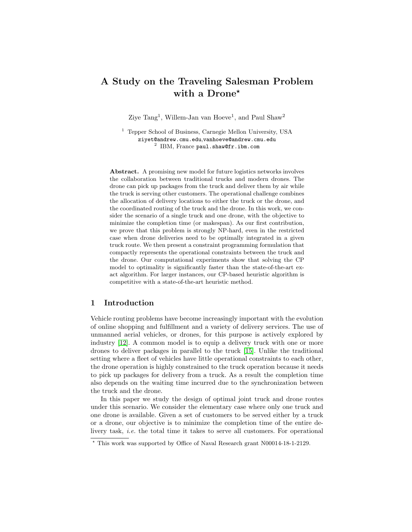# A Study on the Traveling Salesman Problem with a Drone\*

Ziye Tang<sup>1</sup>, Willem-Jan van Hoeve<sup>1</sup>, and Paul Shaw<sup>2</sup>

<sup>1</sup> Tepper School of Business, Carnegie Mellon University, USA ziyet@andrew.cmu.edu,vanhoeve@andrew.cmu.edu  $^{2}$  IBM, France paul.shaw@fr.ibm.com

Abstract. A promising new model for future logistics networks involves the collaboration between traditional trucks and modern drones. The drone can pick up packages from the truck and deliver them by air while the truck is serving other customers. The operational challenge combines the allocation of delivery locations to either the truck or the drone, and the coordinated routing of the truck and the drone. In this work, we consider the scenario of a single truck and one drone, with the objective to minimize the completion time (or makespan). As our first contribution, we prove that this problem is strongly NP-hard, even in the restricted case when drone deliveries need to be optimally integrated in a given truck route. We then present a constraint programming formulation that compactly represents the operational constraints between the truck and the drone. Our computational experiments show that solving the CP model to optimality is significantly faster than the state-of-the-art exact algorithm. For larger instances, our CP-based heuristic algorithm is competitive with a state-of-the-art heuristic method.

#### 1 Introduction

Vehicle routing problems have become increasingly important with the evolution of online shopping and fulfillment and a variety of delivery services. The use of unmanned aerial vehicles, or drones, for this purpose is actively explored by industry [\[12\]](#page-7-0). A common model is to equip a delivery truck with one or more drones to deliver packages in parallel to the truck [\[15\]](#page-7-1). Unlike the traditional setting where a fleet of vehicles have little operational constraints to each other, the drone operation is highly constrained to the truck operation because it needs to pick up packages for delivery from a truck. As a result the completion time also depends on the waiting time incurred due to the synchronization between the truck and the drone.

In this paper we study the design of optimal joint truck and drone routes under this scenario. We consider the elementary case where only one truck and one drone is available. Given a set of customers to be served either by a truck or a drone, our objective is to minimize the completion time of the entire delivery task, i.e. the total time it takes to serve all customers. For operational

<sup>?</sup> This work was supported by Office of Naval Research grant N00014-18-1-2129.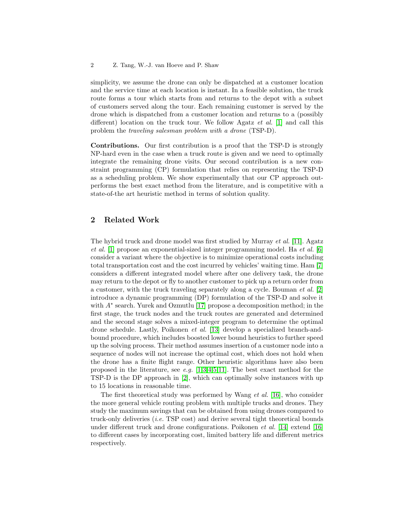simplicity, we assume the drone can only be dispatched at a customer location and the service time at each location is instant. In a feasible solution, the truck route forms a tour which starts from and returns to the depot with a subset of customers served along the tour. Each remaining customer is served by the drone which is dispatched from a customer location and returns to a (possibly different) location on the truck tour. We follow Agatz et al. [\[1\]](#page-7-2) and call this problem the traveling salesman problem with a drone (TSP-D).

Contributions. Our first contribution is a proof that the TSP-D is strongly NP-hard even in the case when a truck route is given and we need to optimally integrate the remaining drone visits. Our second contribution is a new constraint programming (CP) formulation that relies on representing the TSP-D as a scheduling problem. We show experimentally that our CP approach outperforms the best exact method from the literature, and is competitive with a state-of-the art heuristic method in terms of solution quality.

# 2 Related Work

The hybrid truck and drone model was first studied by Murray *et al.* [\[11\]](#page-7-3). Agatz et al. [\[1\]](#page-7-2) propose an exponential-sized integer programming model. Ha et al. [\[6\]](#page-7-4) consider a variant where the objective is to minimize operational costs including total transportation cost and the cost incurred by vehicles' waiting time. Ham [\[7\]](#page-7-5) considers a different integrated model where after one delivery task, the drone may return to the depot or fly to another customer to pick up a return order from a customer, with the truck traveling separately along a cycle. Bouman et al. [\[2\]](#page-7-6) introduce a dynamic programming (DP) formulation of the TSP-D and solve it with  $A^*$  search. Yurek and Ozmutlu [\[17\]](#page-7-7) propose a decomposition method; in the first stage, the truck nodes and the truck routes are generated and determined and the second stage solves a mixed-integer program to determine the optimal drone schedule. Lastly, Poikonen et al. [\[13\]](#page-7-8) develop a specialized branch-andbound procedure, which includes boosted lower bound heuristics to further speed up the solving process. Their method assumes insertion of a customer node into a sequence of nodes will not increase the optimal cost, which does not hold when the drone has a finite flight range. Other heuristic algorithms have also been proposed in the literature, see e.g.  $[1,3,4,5,11]$  $[1,3,4,5,11]$  $[1,3,4,5,11]$  $[1,3,4,5,11]$  $[1,3,4,5,11]$ . The best exact method for the TSP-D is the DP approach in [\[2\]](#page-7-6), which can optimally solve instances with up to 15 locations in reasonable time.

The first theoretical study was performed by Wang et al. [\[16\]](#page-7-12), who consider the more general vehicle routing problem with multiple trucks and drones. They study the maximum savings that can be obtained from using drones compared to truck-only deliveries  $(i.e. TSP cost)$  and derive several tight theoretical bounds under different truck and drone configurations. Poikonen *et al.* [\[14\]](#page-7-13) extend [\[16\]](#page-7-12) to different cases by incorporating cost, limited battery life and different metrics respectively.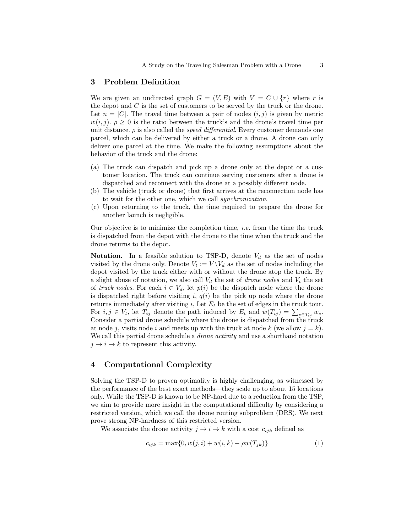#### 3 Problem Definition

We are given an undirected graph  $G = (V, E)$  with  $V = C \cup \{r\}$  where r is the depot and C is the set of customers to be served by the truck or the drone. Let  $n = |C|$ . The travel time between a pair of nodes  $(i, j)$  is given by metric  $w(i, j)$ .  $\rho \geq 0$  is the ratio between the truck's and the drone's travel time per unit distance.  $\rho$  is also called the *speed differential*. Every customer demands one parcel, which can be delivered by either a truck or a drone. A drone can only deliver one parcel at the time. We make the following assumptions about the behavior of the truck and the drone:

- (a) The truck can dispatch and pick up a drone only at the depot or a customer location. The truck can continue serving customers after a drone is dispatched and reconnect with the drone at a possibly different node.
- (b) The vehicle (truck or drone) that first arrives at the reconnection node has to wait for the other one, which we call synchronization.
- (c) Upon returning to the truck, the time required to prepare the drone for another launch is negligible.

Our objective is to minimize the completion time, *i.e.* from the time the truck is dispatched from the depot with the drone to the time when the truck and the drone returns to the depot.

Notation. In a feasible solution to TSP-D, denote  $V_d$  as the set of nodes visited by the drone only. Denote  $V_t := V \backslash V_d$  as the set of nodes including the depot visited by the truck either with or without the drone atop the truck. By a slight abuse of notation, we also call  $V_d$  the set of *drone nodes* and  $V_t$  the set of truck nodes. For each  $i \in V_d$ , let  $p(i)$  be the dispatch node where the drone is dispatched right before visiting i,  $q(i)$  be the pick up node where the drone returns immediately after visiting  $i$ , Let  $E_t$  be the set of edges in the truck tour. For  $i, j \in V_t$ , let  $T_{ij}$  denote the path induced by  $E_t$  and  $w(T_{ij}) = \sum_{e \in T_{ij}} w_e$ . Consider a partial drone schedule where the drone is dispatched from the truck at node j, visits node i and meets up with the truck at node k (we allow  $j = k$ ). We call this partial drone schedule a *drone activity* and use a shorthand notation  $j \to i \to k$  to represent this activity.

# 4 Computational Complexity

Solving the TSP-D to proven optimality is highly challenging, as witnessed by the performance of the best exact methods—they scale up to about 15 locations only. While the TSP-D is known to be NP-hard due to a reduction from the TSP, we aim to provide more insight in the computational difficulty by considering a restricted version, which we call the drone routing subproblem (DRS). We next prove strong NP-hardness of this restricted version.

We associate the drone activity  $j \to i \to k$  with a cost  $c_{ijk}$  defined as

$$
c_{ijk} = \max\{0, w(j, i) + w(i, k) - \rho w(T_{jk})\}
$$
 (1)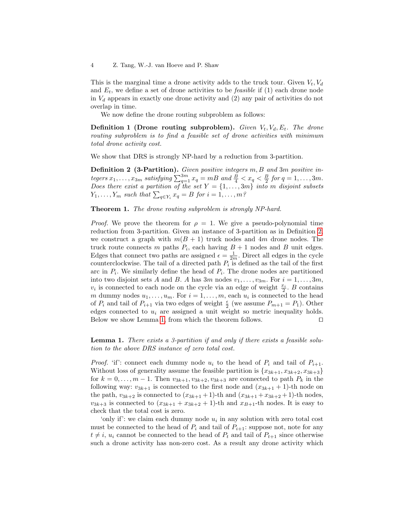This is the marginal time a drone activity adds to the truck tour. Given  $V_t, V_d$ and  $E_t$ , we define a set of drone activities to be *feasible* if (1) each drone node in  $V_d$  appears in exactly one drone activity and  $(2)$  any pair of activities do not overlap in time.

<span id="page-3-0"></span>We now define the drone routing subproblem as follows:

**Definition 1 (Drone routing subproblem).** Given  $V_t$ ,  $V_d$ ,  $E_t$ . The drone routing subproblem is to find a feasible set of drone activities with minimum total drone activity cost.

We show that DRS is strongly NP-hard by a reduction from 3-partition.

Definition 2 (3-Partition). Given positive integers m, B and 3m positive integers  $x_1, \ldots, x_{3m}$  satisfying  $\sum_{q=1}^{3m} x_q = mB$  and  $\frac{B}{4} < x_q < \frac{B}{2}$  for  $q = 1, \ldots, 3m$ . Does there exist a partition of the set  $Y = \{1, \ldots, 3m\}$  into m disjoint subsets  $Y_1, \ldots, Y_m$  such that  $\sum_{q \in Y_i} x_q = B$  for  $i = 1, \ldots, m$ ?

#### Theorem 1. The drone routing subproblem is strongly NP-hard.

*Proof.* We prove the theorem for  $\rho = 1$ . We give a pseudo-polynomial time reduction from 3-partition. Given an instance of 3-partition as in Definition [2,](#page-3-0) we construct a graph with  $m(B + 1)$  truck nodes and 4m drone nodes. The truck route connects m paths  $P_i$ , each having  $B + 1$  nodes and B unit edges. Edges that connect two paths are assigned  $\epsilon = \frac{1}{2m}$ . Direct all edges in the cycle counterclockwise. The tail of a directed path  $P_i$  is defined as the tail of the first arc in  $P_i$ . We similarly define the head of  $P_i$ . The drone nodes are partitioned into two disjoint sets A and B. A has  $3m$  nodes  $v_1, \ldots, v_{3m}$ . For  $i = 1, \ldots, 3m$ ,  $v_i$  is connected to each node on the cycle via an edge of weight  $\frac{x_i}{2}$ . B contains m dummy nodes  $u_1, \ldots, u_m$ . For  $i = 1, \ldots, m$ , each  $u_i$  is connected to the head of  $P_i$  and tail of  $P_{i+1}$  via two edges of weight  $\frac{\epsilon}{2}$  (we assume  $P_{m+1} = P_1$ ). Other edges connected to  $u_i$  are assigned a unit weight so metric inequality holds. Below we show Lemma [1,](#page-3-1) from which the theorem follows.  $\Box$ 

<span id="page-3-1"></span>Lemma 1. There exists a 3-partition if and only if there exists a feasible solution to the above DRS instance of zero total cost.

*Proof.* 'if': connect each dummy node  $u_i$  to the head of  $P_i$  and tail of  $P_{i+1}$ . Without loss of generality assume the feasible partition is  $\{x_{3k+1}, x_{3k+2}, x_{3k+3}\}\$ for  $k = 0, ..., m - 1$ . Then  $v_{3k+1}, v_{3k+2}, v_{3k+3}$  are connected to path  $P_k$  in the following way:  $v_{3k+1}$  is connected to the first node and  $(x_{3k+1} + 1)$ -th node on the path,  $v_{3k+2}$  is connected to  $(x_{3k+1}+1)$ -th and  $(x_{3k+1}+x_{3k+2}+1)$ -th nodes,  $v_{3k+3}$  is connected to  $(x_{3k+1} + x_{3k+2} + 1)$ -th and  $x_{B+1}$ -th nodes. It is easy to check that the total cost is zero.

'only if': we claim each dummy node  $u_i$  in any solution with zero total cost must be connected to the head of  $P_i$  and tail of  $P_{i+1}$ : suppose not, note for any  $t \neq i$ ,  $u_i$  cannot be connected to the head of  $P_t$  and tail of  $P_{t+1}$  since otherwise such a drone activity has non-zero cost. As a result any drone activity which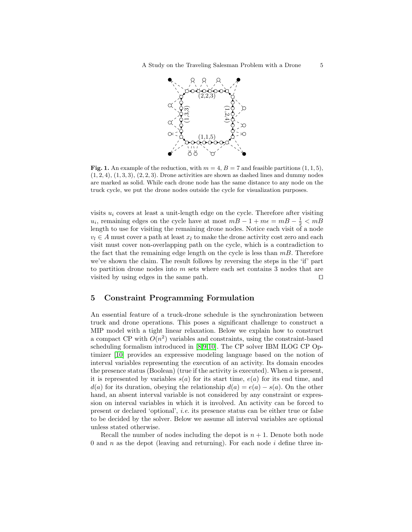

**Fig. 1.** An example of the reduction, with  $m = 4$ ,  $B = 7$  and feasible partitions  $(1, 1, 5)$ ,  $(1, 2, 4)$ ,  $(1, 3, 3)$ ,  $(2, 2, 3)$ . Drone activities are shown as dashed lines and dummy nodes are marked as solid. While each drone node has the same distance to any node on the truck cycle, we put the drone nodes outside the cycle for visualization purposes.

visits  $u_i$  covers at least a unit-length edge on the cycle. Therefore after visiting  $u_i$ , remaining edges on the cycle have at most  $mB - 1 + m\epsilon = mB - \frac{1}{2} < mB$ length to use for visiting the remaining drone nodes. Notice each visit of a node  $v_l \in A$  must cover a path at least  $x_l$  to make the drone activity cost zero and each visit must cover non-overlapping path on the cycle, which is a contradiction to the fact that the remaining edge length on the cycle is less than  $mB$ . Therefore we've shown the claim. The result follows by reversing the steps in the 'if' part to partition drone nodes into m sets where each set contains 3 nodes that are visited by using edges in the same path.  $\Box$ 

# 5 Constraint Programming Formulation

An essential feature of a truck-drone schedule is the synchronization between truck and drone operations. This poses a significant challenge to construct a MIP model with a tight linear relaxation. Below we explain how to construct a compact CP with  $O(n^2)$  variables and constraints, using the constraint-based scheduling formalism introduced in [\[8,](#page-7-14)[9,](#page-7-15)[10\]](#page-7-16). The CP solver IBM ILOG CP Optimizer [\[10\]](#page-7-16) provides an expressive modeling language based on the notion of interval variables representing the execution of an activity. Its domain encodes the presence status (Boolean) (true if the activity is executed). When a is present, it is represented by variables  $s(a)$  for its start time,  $e(a)$  for its end time, and  $d(a)$  for its duration, obeying the relationship  $d(a) = e(a) - s(a)$ . On the other hand, an absent interval variable is not considered by any constraint or expression on interval variables in which it is involved. An activity can be forced to present or declared 'optional', i.e. its presence status can be either true or false to be decided by the solver. Below we assume all interval variables are optional unless stated otherwise.

Recall the number of nodes including the depot is  $n + 1$ . Denote both node 0 and n as the depot (leaving and returning). For each node i define three in-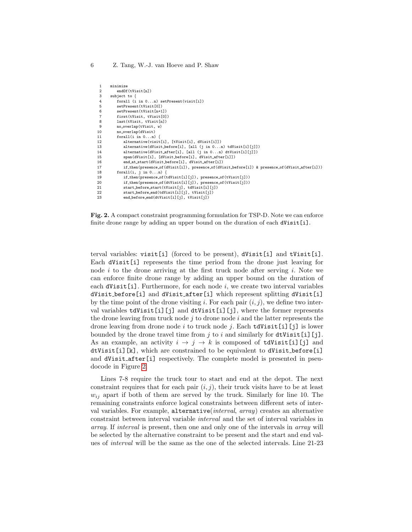#### 6 Z. Tang, W.-J. van Hoeve and P. Shaw

```
1 minimize
              endOf(tVisit[n])
 3 subject to {
 4 forall (i in 0...n) setPresent(visit[i])<br>5 setPresent(tVisit[0])
 5 setPresent(tVisit[0])<br>6 setPresent(tVisit[n+1
 6 setPresent(tVisit[n+1])<br>7 first(tVisit_tVisit[0]
 7 first(tVisit, tVisit[0])<br>8 last(tVisit_tVisit[n])
 8 last(tVisit, tVisit[n])<br>9 no_overlap(tVisit, w)
9 no_overlap(tVisit, w)<br>10 no_overlap(dVisit)
10 no_overlap(dVisit)<br>11 forall(i in 0...n)
11 forall(i in 0...n) {<br>12 alternative(visit
12 alternative(visit[i], [tVisit[i], dVisit[i]])<br>13 alternative(dVisit_before[i], [all (j in 0...
13 alternative(dVisit_before[i], [all (j in 0...n) tdVisit[i][j]])<br>14 alternative(dVisit_after[i], [all (j in 0...n) dtVisit[i][j]])
14 alternative(dVisit_after[i], [all (j in 0...n) dtVisit[i][j]])<br>15 span(dVisit[i]. [dVisit_before[i]. dVisit_after[i]])
15 span(dVisit[i], [dVisit_before[i], dVisit_after[i]])<br>16 end at start(dVisit before[i], dVisit after[i])
16 end at start (dVisit before [i], dVisit after [i])<br>17 if then (presence of (dVisit [i]), presence of (dVi
17 if then(presence of(dVisit[i]), presence of(dVisit before[i]) & presence of(dVisit after[i]))<br>18 forall(i, j in 0...n) {
18 forall(i, j in 0...n) {<br>19 if_then(presence_of(t
19 if then(presence of (tdVisit[i][j]), presence of (tVisit[j]))<br>20 if then(presence of (dtVisit[i][j]), presence of (tVisit[j]))
20 if_then(presence_of(dtVisit[i][j]), presence_of(tVisit[j]))<br>21 start_before_start(tVisit[i], tdVisit[i][i])
21 start_before_start(tVisit[j], tdVisit[i][j])<br>22 start_before_end(tdVisit[i][i]_tVisit[i])
22 start_before_end(tdVisit[i][j], tVisit[j])<br>23 end_before_end(dtVisit[i][j], tVisit[j])
                   end_before_end(dtVisit[i][j], tVisit[j])
```
<span id="page-5-0"></span>Fig. 2. A compact constraint programming formulation for TSP-D. Note we can enforce finite drone range by adding an upper bound on the duration of each dVisit[i].

terval variables: visit[i] (forced to be present), dVisit[i] and tVisit[i]. Each dVisit[i] represents the time period from the drone just leaving for node  $i$  to the drone arriving at the first truck node after serving  $i$ . Note we can enforce finite drone range by adding an upper bound on the duration of each  $\text{dVisit}[i]$ . Furthermore, for each node i, we create two interval variables dVisit before[i] and dVisit after[i] which represent splitting dVisit[i] by the time point of the drone visiting i. For each pair  $(i, j)$ , we define two interval variables tdVisit[i][j] and dtVisit[i][j], where the former represents the drone leaving from truck node  $j$  to drone node  $i$  and the latter represents the drone leaving from drone node i to truck node j. Each  $\text{tdVisit}[i][j]$  is lower bounded by the drone travel time from j to i and similarly for  $dtVisit[i][j].$ As an example, an activity  $i \to j \to k$  is composed of **tdVisit[i][j]** and dtVisit[i][k], which are constrained to be equivalent to dVisit before[i] and dVisit after[i] respectively. The complete model is presented in pseudocode in Figure [2.](#page-5-0)

Lines 7-8 require the truck tour to start and end at the depot. The next constraint requires that for each pair  $(i, j)$ , their truck visits have to be at least  $w_{ij}$  apart if both of them are served by the truck. Similarly for line 10. The remaining constraints enforce logical constraints between different sets of interval variables. For example, alternative(*interval, array*) creates an alternative constraint between interval variable interval and the set of interval variables in array. If interval is present, then one and only one of the intervals in array will be selected by the alternative constraint to be present and the start and end values of interval will be the same as the one of the selected intervals. Line 21-23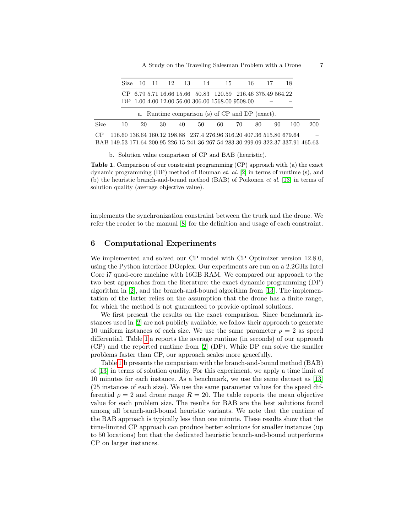|      | <b>Size</b> |     |    |    |     | 10 11 12 13 14 15                                                                | -16 | 17  |    | 18  |            |
|------|-------------|-----|----|----|-----|----------------------------------------------------------------------------------|-----|-----|----|-----|------------|
|      |             |     |    |    |     | CP 6.79 5.71 16.66 15.66 50.83 120.59 216.46 375.49 564.22                       |     |     |    |     |            |
|      |             |     |    |    |     | DP 1.00 4.00 12.00 56.00 306.00 1568.00 9508.00                                  |     |     |    |     |            |
|      |             |     |    |    |     | a. Runtime comparison (s) of CP and DP (exact).                                  |     |     |    |     |            |
| Size | 10          | -20 | 30 | 40 | 50. | 60                                                                               | 70  | -80 | 90 | 100 | <b>200</b> |
| CP.  |             |     |    |    |     | 116.60 136.64 160.12 198.88 237.4 276.96 316.20 407.36 515.80 679.64             |     |     |    |     |            |
|      |             |     |    |    |     | BAB 149.53 171.64 200.95 226.15 241.36 267.54 283.30 299.09 322.37 337.91 465.63 |     |     |    |     |            |

<span id="page-6-0"></span>b. Solution value comparison of CP and BAB (heuristic).

Table 1. Comparison of our constraint programming (CP) approach with (a) the exact dynamic programming  $(DP)$  method of Bouman *et. al.* [\[2\]](#page-7-6) in terms of runtime (s), and (b) the heuristic branch-and-bound method (BAB) of Poikonen et al. [\[13\]](#page-7-8) in terms of solution quality (average objective value).

implements the synchronization constraint between the truck and the drone. We refer the reader to the manual [\[8\]](#page-7-14) for the definition and usage of each constraint.

# 6 Computational Experiments

We implemented and solved our CP model with CP Optimizer version 12.8.0, using the Python interface DOcplex. Our experiments are run on a 2.2GHz Intel Core i7 quad-core machine with 16GB RAM. We compared our approach to the two best approaches from the literature: the exact dynamic programming (DP) algorithm in [\[2\]](#page-7-6), and the branch-and-bound algorithm from [\[13\]](#page-7-8). The implementation of the latter relies on the assumption that the drone has a finite range, for which the method is not guaranteed to provide optimal solutions.

We first present the results on the exact comparison. Since benchmark instances used in [\[2\]](#page-7-6) are not publicly available, we follow their approach to generate 10 uniform instances of each size. We use the same parameter  $\rho = 2$  as speed differential. Table [1.](#page-6-0)a reports the average runtime (in seconds) of our approach (CP) and the reported runtime from [\[2\]](#page-7-6) (DP). While DP can solve the smaller problems faster than CP, our approach scales more gracefully.

Table [1.](#page-6-0)b presents the comparison with the branch-and-bound method (BAB) of [\[13\]](#page-7-8) in terms of solution quality. For this experiment, we apply a time limit of 10 minutes for each instance. As a benchmark, we use the same dataset as [\[13\]](#page-7-8) (25 instances of each size). We use the same parameter values for the speed differential  $\rho = 2$  and drone range  $R = 20$ . The table reports the mean objective value for each problem size. The results for BAB are the best solutions found among all branch-and-bound heuristic variants. We note that the runtime of the BAB approach is typically less than one minute. These results show that the time-limited CP approach can produce better solutions for smaller instances (up to 50 locations) but that the dedicated heuristic branch-and-bound outperforms CP on larger instances.